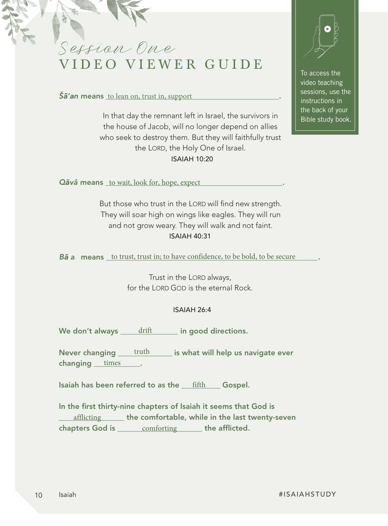Session One VIDEO VIEWER GUIDE

 $\check{S}\check{a}'$ an means  $\underline{to}$  lean on, trust in, support  $\underline{\hspace{1.5cm}}$ .

In that day the remnant left in Israel, the survivors in the house of Jacob, will no longer depend on allies who seek to destroy them. But they will faithfully trust the LORD, the Holy One of Israel. ISAIAH 10:20



To access the video teaching sessions, use the instructions in the back of your Bible study book.

Qāvâ means \_to wait, look for, hope, expect

But those who trust in the LORD will find new strength. They will soar high on wings like eagles. They will run and not grow weary. They will walk and not faint. ISAIAH 40:31

Bā a means to trust, trust in; to have confidence, to be bold, to be secure

Trust in the LORD always, for the LORD GOD is the eternal Rock.

## ISAIAH 26:4

We don't always  $\underline{\hspace{1cm}}$  drift  $\underline{\hspace{1cm}}$  in good directions.

Never changing  $\qquad$  truth  $\qquad$  is what will help us navigate ever changing times .

Isaiah has been referred to as the  $\_\mathrm{fifth}$  Gospel.

In the first thirty-nine chapters of Isaiah it seems that God is **EXECUTE:** The comfortable, while in the last twenty-seven chapters God is  $\_\_\_\_$  comforting  $\_\_\_\_$  the afflicted.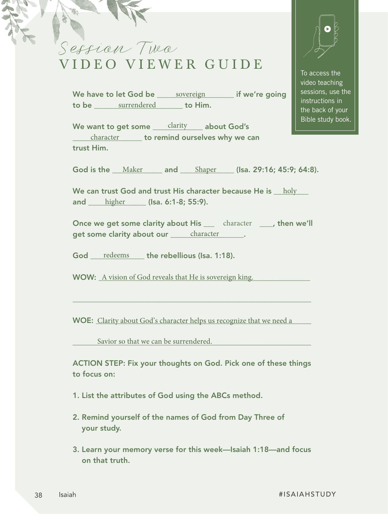Session Two VIDEO VIEWER GUIDE

To access the video teaching sessions, use the instructions in the back of your Bible study book.

We have to let God be \_\_\_\_\_\_\_\_\_\_\_\_\_\_\_\_\_\_\_\_\_\_\_\_\_\_\_\_\_\_\_\_ if we're going to be <u>surrendered a set t</u>o Him.

We want to get some <u>saintly sepead out God's</u> <u>character</u> **contained ourselves why we can** <u>character</u> trust Him.

God is the  $\underline{\quad \text{Maker}}$  and  $\underline{\quad \text{Shaper}}$  (Isa. 29:16; 45:9; 64:8).

We can trust God and trust His character because He is  $\_$   $\,$   $\,$  holy  $\_$ and <u>\_\_\_\_\_\_\_\_\_\_\_\_\_\_\_\_\_\_\_\_\_</u> (Isa. 6:1-8; 55:9).

Once we get some clarity about His \_\_\_\_\_\_\_character \_\_\_\_\_, then we'll get some clarity about our <u>subsenlancter</u> some claracter

God <u>redeems</u> the rebellious (Isa. 1:18).

WOW: A vision of God reveals that He is sovereign king.

WOE: Clarity about God's character helps us recognize that we need a

\_\_\_\_\_\_\_\_\_\_\_\_\_\_\_\_\_\_\_\_\_\_\_\_\_\_\_\_\_\_\_\_\_\_\_\_\_\_\_\_\_\_\_\_\_\_\_\_\_\_\_\_\_\_\_\_\_\_\_\_\_\_

\_\_\_\_\_\_\_\_\_\_\_\_\_\_\_\_\_\_\_\_\_\_\_\_\_\_\_\_\_\_\_\_\_\_\_\_\_\_\_\_\_\_\_\_\_\_\_\_\_\_\_\_\_\_\_\_\_\_\_\_\_\_ Savior so that we can be surrendered.

ACTION STEP: Fix your thoughts on God. Pick one of these things to focus on:

- 1. List the attributes of God using the ABCs method.
- 2. Remind yourself of the names of God from Day Three of your study.
- 3. Learn your memory verse for this week—Isaiah 1:18—and focus on that truth.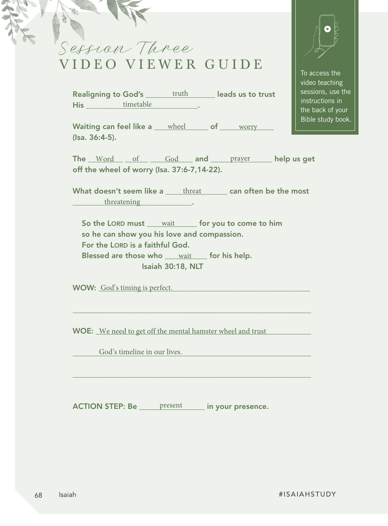

Realigning to God's \_\_\_\_\_\_\_truth \_\_\_\_\_\_\_ leads us to trust His \_\_\_\_\_\_\_\_\_\_\_\_\_\_\_\_\_\_\_\_\_\_\_\_\_\_\_\_\_. timetable

To access the video teaching sessions, use the instructions in the back of your Bible study book.

Waiting can feel like a wheel the of worry the World Waiting can feel like a wheel world of the world world wo (Isa. 36:4-5).

The  $\underline{\hspace{1cm}}$  Word  $\underline{\hspace{1cm}}$  of  $\underline{\hspace{1cm}}$  God and prayer help us get off the wheel of worry (Isa. 37:6-7,14-22).

What doesn't seem like a  $\rule{1em}{0.15mm}$  can often be the most end threatening the contract of the state of the state of the state of the state of the state of the state of the state of the state of the state of the state of the state of the state of the state of the state of the stat

\_\_\_\_\_\_\_\_\_\_\_\_\_\_\_\_\_\_\_\_\_\_\_\_\_\_\_\_\_\_\_\_\_\_\_\_\_\_\_\_\_\_\_\_\_\_\_\_\_\_\_\_\_\_\_\_\_\_\_\_\_\_

\_\_\_\_\_\_\_\_\_\_\_\_\_\_\_\_\_\_\_\_\_\_\_\_\_\_\_\_\_\_\_\_\_\_\_\_\_\_\_\_\_\_\_\_\_\_\_\_\_\_\_\_\_\_\_\_\_\_\_\_\_\_

So the LORD must <u>wait</u> for you to come to him so he can show you his love and compassion. For the LORD is a faithful God. Blessed are those who wait for his help. Isaiah 30:18, NLT

WOW: Cod's timing is perfect.

WOE: We need to get off the mental hamster wheel and trust

\_\_\_\_\_\_\_\_\_\_\_\_\_\_\_\_\_\_\_\_\_\_\_\_\_\_\_\_\_\_\_\_\_\_\_\_\_\_\_\_\_\_\_\_\_\_\_\_\_\_\_\_\_\_\_\_\_\_\_\_\_\_ God's timeline in our lives.

ACTION STEP: Be \_\_\_\_\_\_ present \_\_\_\_\_\_ in your presence.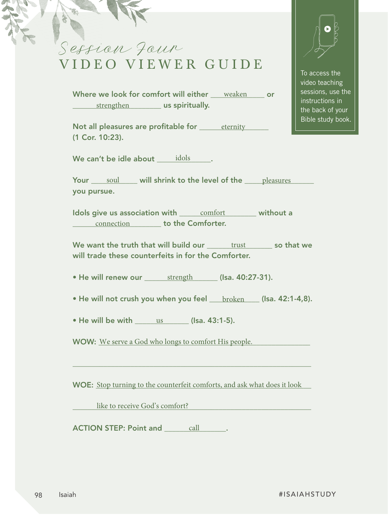Session Four VIDEO VIEWER GUIDE

Where we look for comfort will either  $\_\_$  weaken  $\_\_$  or **EXECUTE:** Let us spiritually.

Not all pleasures are profitable for <u>sternity stead</u> (1 Cor. 10:23).

We can't be idle about  $\rule{1em}{0.15mm}$   $\rule{1.5mm}{0.15mm}$   $\qquad$   $\rule{1.5mm}$   $\qquad$   $\qquad$   $\qquad$   $\qquad$   $\qquad$   $\qquad$   $\qquad$   $\qquad$   $\qquad$   $\qquad$   $\qquad$   $\qquad$   $\qquad$   $\qquad$   $\qquad$   $\qquad$   $\qquad$   $\qquad$   $\qquad$   $\qquad$   $\qquad$   $\qquad$   $\qquad$   $\qquad$   $\qquad$ 

Your  $\_\_$  soul  $\_\_$  will shrink to the level of the  $\_\_$  pleasures  $\_\_$ you pursue.

Idols give us association with <u>comfort said</u> without a connection **connection** to the Comforter.

We want the truth that will build our <u>secure trust so that we</u> will trade these counterfeits in for the Comforter.

• He will renew our <u>strength [Juan 40:27-31</u>].

 $\bullet$  He will not crush you when you feel  $\_\_$   $\_\text{broken}\_\_$  (Isa. 42:1-4,8).

• He will be with  $\_\_\_\_\_\_\_\_\_\_\_\_\_\_\_\_\_$  (Isa. 43:1-5).

WOW: We serve a God who longs to comfort His people.

WOE: Stop turning to the counterfeit comforts, and ask what does it look

\_\_\_\_\_\_\_\_\_\_\_\_\_\_\_\_\_\_\_\_\_\_\_\_\_\_\_\_\_\_\_\_\_\_\_\_\_\_\_\_\_\_\_\_\_\_\_\_\_\_\_\_\_\_\_\_\_\_\_\_\_\_

\_\_\_\_\_\_\_\_\_\_\_\_\_\_\_\_\_\_\_\_\_\_\_\_\_\_\_\_\_\_\_\_\_\_\_\_\_\_\_\_\_\_\_\_\_\_\_\_\_\_\_\_\_\_\_\_\_\_\_\_\_\_ like to receive God's comfort?

ACTION STEP: Point and <u>eall</u> and the same of the set of the set of the set of the set of the set of the set of the set of the set of the set of the set of the set of the set of the set of the set of the set of the set of



To access the video teaching sessions, use the instructions in the back of your Bible study book.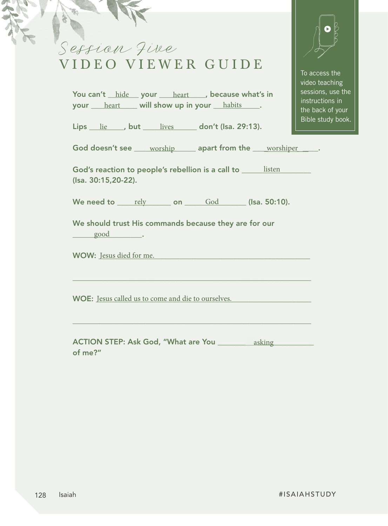| Session Five<br>VIDEO VIEWER GUIDE                                                      | To access the<br>video teaching                                               |
|-----------------------------------------------------------------------------------------|-------------------------------------------------------------------------------|
| You can't hide your heart because what's in<br>your heart will show up in your habits.  | sessions, use the<br>instructions in<br>the back of your<br>Bible study book. |
| Lips lie, but lives don't (Isa. 29:13).                                                 |                                                                               |
| God doesn't see ____ worship _____ apart from the ___ worshiper                         |                                                                               |
| God's reaction to people's rebellion is a call to _______ listen<br>(Isa. 30:15,20-22). |                                                                               |
| We need to rely on God (Isa. 50:10).                                                    |                                                                               |
| We should trust His commands because they are for our<br>good                           |                                                                               |
| <b>WOW:</b> Jesus died for me.                                                          |                                                                               |
| <b>WOE:</b> Jesus called us to come and die to ourselves.                               |                                                                               |
| <b>ACTION STEP: Ask God, "What are You _________ asking __________</b><br>of me?"       |                                                                               |

ギど Ø,

#ISAIAHSTUDY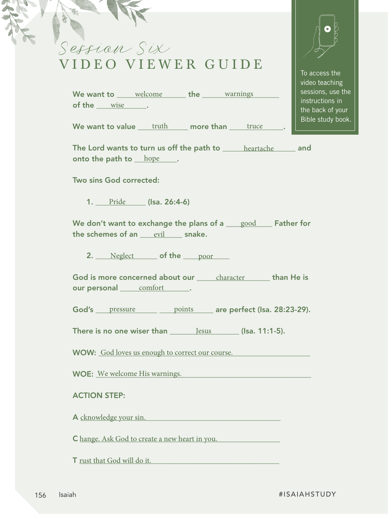## Session Six VIDEO VIEWER GUIDE

We want to <u>welcome</u> the warnings of the  $\rule{1em}{0.15mm}$  wise  $\rule{1em}{0.15mm}$ .

We want to value  $\underline{\qquad \text{truth}}$  more than  $\underline{\qquad \text{true}}$  .

The Lord wants to turn us off the path to <u>stand and heartache</u> sand onto the path to  $\rule{1em}{0.15mm}$  hope  $\rule{1.15mm}{0.15mm}$ 

Two sins God corrected:

1. Pride (Isa. 26:4-6)

We don't want to exchange the plans of a  $\bigsqcup_{\text{good}}$  Father for the schemes of an <u>evil snake.</u>

2. Neglect of the poor

God is more concerned about our <u>easil character all than He is</u> our personal <u>comfort</u>.

God's pressure points are perfect (Isa. 28:23-29).

There is no one wiser than  $\_\_\_\_\$ Jess  $\_\_\_\_\_\_\_\_\_\_\_$  (Isa. 11:1-5).

WOW: God loves us enough to correct our course.

WOE: \_\_\_\_\_\_\_\_\_\_\_\_\_\_\_\_\_\_\_\_\_\_\_\_\_\_\_\_\_\_\_\_\_\_\_\_\_\_\_\_\_\_\_\_\_\_\_\_\_\_\_\_\_\_\_\_ We welcome His warnings.

## ACTION STEP:

A cknowledge your sin.

C hange. Ask God to create a new heart in you.

T <u>rust that God will do it.</u>



To access the video teaching sessions, use the instructions in the back of your Bible study book.